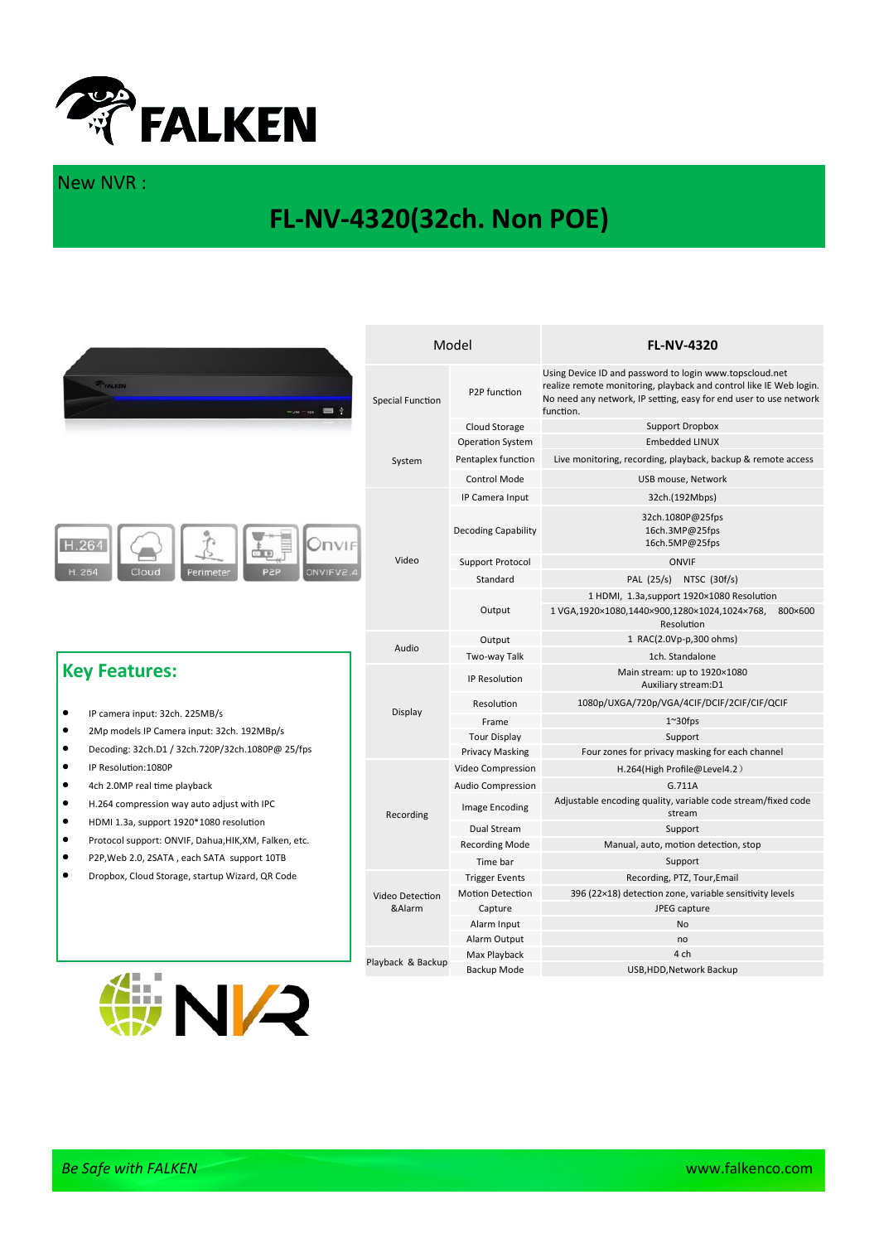

## New NVR :

## **FL-NV-4320(32ch. Non POE)**

|                                                                                           | Model                     |                            | <b>FL-NV-4320</b>                                                                                                                                                                                               |
|-------------------------------------------------------------------------------------------|---------------------------|----------------------------|-----------------------------------------------------------------------------------------------------------------------------------------------------------------------------------------------------------------|
| FFALKEN<br>$-$ use $-$ He $ \blacksquare$ $\downarrow$                                    | <b>Special Function</b>   | P2P function               | Using Device ID and password to login www.topscloud.net<br>realize remote monitoring, playback and control like IE Web login.<br>No need any network, IP setting, easy for end user to use network<br>function. |
|                                                                                           |                           | Cloud Storage              | <b>Support Dropbox</b>                                                                                                                                                                                          |
| H.264<br>Onvif<br>ONVIFV2.<br>H. 264<br>Cloud<br>Perimeter<br>P2P<br><b>Key Features:</b> | System                    | <b>Operation System</b>    | <b>Embedded LINUX</b>                                                                                                                                                                                           |
|                                                                                           |                           | Pentaplex function         | Live monitoring, recording, playback, backup & remote access                                                                                                                                                    |
|                                                                                           |                           | <b>Control Mode</b>        | USB mouse, Network                                                                                                                                                                                              |
|                                                                                           | Video                     | IP Camera Input            | 32ch.(192Mbps)                                                                                                                                                                                                  |
|                                                                                           |                           | <b>Decoding Capability</b> | 32ch.1080P@25fps<br>16ch.3MP@25fps<br>16ch.5MP@25fps                                                                                                                                                            |
|                                                                                           |                           | Support Protocol           | <b>ONVIF</b>                                                                                                                                                                                                    |
|                                                                                           |                           | Standard                   | PAL (25/s) NTSC (30f/s)                                                                                                                                                                                         |
|                                                                                           |                           | Output                     | 1 HDMI, 1.3a, support 1920×1080 Resolution                                                                                                                                                                      |
|                                                                                           |                           |                            | 1 VGA, 1920×1080, 1440×900, 1280×1024, 1024×768, 800×600<br>Resolution                                                                                                                                          |
|                                                                                           | Audio                     | Output                     | 1 RAC(2.0Vp-p,300 ohms)                                                                                                                                                                                         |
|                                                                                           |                           | Two-way Talk               | 1ch. Standalone                                                                                                                                                                                                 |
|                                                                                           | Display                   | IP Resolution              | Main stream: up to 1920×1080<br>Auxiliary stream:D1                                                                                                                                                             |
|                                                                                           |                           | Resolution                 | 1080p/UXGA/720p/VGA/4CIF/DCIF/2CIF/CIF/QCIF                                                                                                                                                                     |
| $\bullet$<br>IP camera input: 32ch. 225MB/s                                               |                           | Frame                      | $1^{\sim}30$ fps                                                                                                                                                                                                |
| $\bullet$<br>2Mp models IP Camera input: 32ch. 192MBp/s                                   |                           | <b>Tour Display</b>        | Support                                                                                                                                                                                                         |
| $\bullet$<br>Decoding: 32ch.D1 / 32ch.720P/32ch.1080P@ 25/fps                             |                           | <b>Privacy Masking</b>     | Four zones for privacy masking for each channel                                                                                                                                                                 |
| $\bullet$<br>IP Resolution: 1080P                                                         | Recording                 | Video Compression          | H.264(High Profile@Level4.2)                                                                                                                                                                                    |
| $\bullet$<br>4ch 2.0MP real time playback                                                 |                           | Audio Compression          | G.711A                                                                                                                                                                                                          |
| $\bullet$<br>H.264 compression way auto adjust with IPC<br>$\bullet$                      |                           | <b>Image Encoding</b>      | Adjustable encoding quality, variable code stream/fixed code<br>stream                                                                                                                                          |
| HDMI 1.3a, support 1920*1080 resolution                                                   |                           | Dual Stream                | Support                                                                                                                                                                                                         |
| $\bullet$<br>Protocol support: ONVIF, Dahua, HIK, XM, Falken, etc.                        |                           | <b>Recording Mode</b>      | Manual, auto, motion detection, stop                                                                                                                                                                            |
| $\bullet$<br>P2P, Web 2.0, 2SATA, each SATA support 10TB                                  |                           | Time bar                   | Support                                                                                                                                                                                                         |
| $\bullet$<br>Dropbox, Cloud Storage, startup Wizard, QR Code                              |                           | <b>Trigger Events</b>      | Recording, PTZ, Tour, Email                                                                                                                                                                                     |
| T.<br>ш                                                                                   | Video Detection<br>&Alarm | <b>Motion Detection</b>    | 396 (22×18) detection zone, variable sensitivity levels                                                                                                                                                         |
|                                                                                           |                           | Capture                    | JPEG capture                                                                                                                                                                                                    |
|                                                                                           |                           | Alarm Input                | <b>No</b>                                                                                                                                                                                                       |
|                                                                                           | Playback & Backup         | Alarm Output               | no                                                                                                                                                                                                              |
|                                                                                           |                           | Max Playback               | 4 ch                                                                                                                                                                                                            |
|                                                                                           |                           | Backup Mode                | USB, HDD, Network Backup                                                                                                                                                                                        |